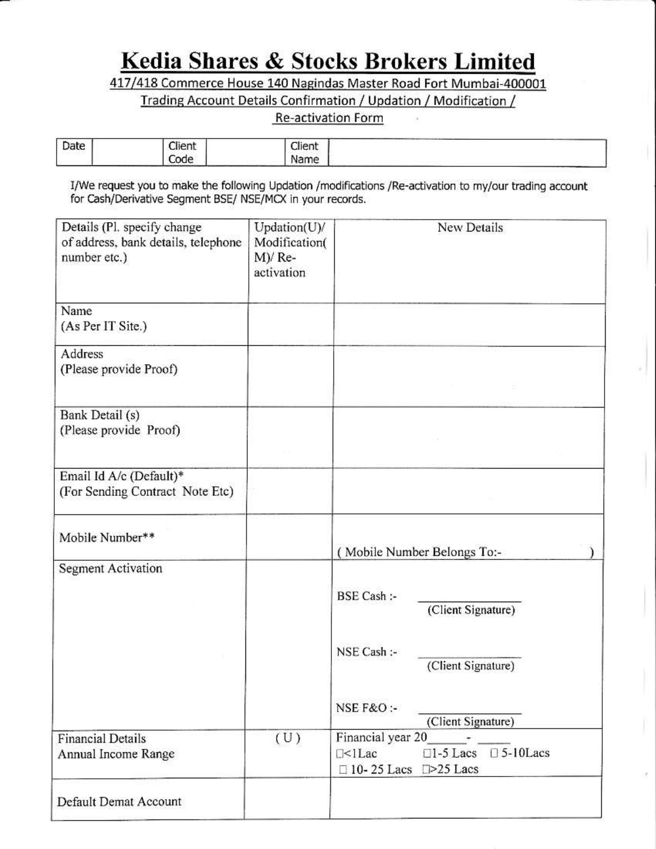## Kedia Shares & Stocks Brokers Limited

417/418 Commerce House 140 Nagindas Master Road Fort Mumbai-400001

Trading Account Details Confirmation / Updation / Modification /

## **Re-activation Form**

| ___<br>Date | Client | and the<br>Llient |  |
|-------------|--------|-------------------|--|
|             | ode    | Name              |  |

I/We request you to make the following Updation /modifications /Re-activation to my/our trading account for Cash/Derivative Segment BSE/ NSE/MCX in your records.

| Details (Pl. specify change<br>of address, bank details, telephone<br>number etc.) | Updation(U)/<br>Modification(<br>$M$ )/Re-<br>activation | New Details                                                                                                                 |
|------------------------------------------------------------------------------------|----------------------------------------------------------|-----------------------------------------------------------------------------------------------------------------------------|
| Name<br>(As Per IT Site.)                                                          |                                                          |                                                                                                                             |
| Address<br>(Please provide Proof)                                                  |                                                          |                                                                                                                             |
| Bank Detail (s)<br>(Please provide Proof)                                          |                                                          |                                                                                                                             |
| Email Id A/c (Default)*<br>(For Sending Contract Note Etc)                         |                                                          |                                                                                                                             |
| Mobile Number**                                                                    |                                                          | (Mobile Number Belongs To:-                                                                                                 |
| <b>Segment Activation</b>                                                          |                                                          | BSE Cash :-<br>(Client Signature)<br>NSE Cash :-<br>(Client Signature)                                                      |
| <b>Financial Details</b>                                                           | (U)                                                      | NSE F&O:-<br>(Client Signature)<br>Financial year 20                                                                        |
| Annual Income Range                                                                |                                                          | $\square$ 1-5 Lacs $\square$ 5-10 Lacs<br>$\Box$ <l lac<br=""><math>\Box</math> 10-25 Lacs <math>\Box</math>&gt;25 Lacs</l> |
| Default Demat Account                                                              |                                                          |                                                                                                                             |